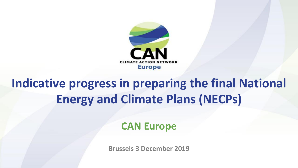

# **Indicative progress in preparing the final National Energy and Climate Plans (NECPs)**

**CAN Europe**

**Brussels 3 December 2019**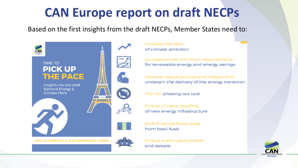# **CAN Europe report on draft NECPs**

Based on the first insights from the draft NECPs, Member States need to:



Increase the level of climate ambition

Go beyond the minimum requirements for renewable energy and energy savings

Develop robust policies and measures to underpin the delivery of the energy transition

Plan for phasing out coal

Ensure climate-proofing of new energy infrastructure

Shift financial flows away from fossil fuels

Ensure public participation and debate

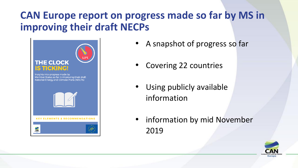#### **CAN Europe report on progress made so far by MS in improving their draft NECPs**



- A snapshot of progress so far
- Covering 22 countries
- Using publicly available information
- information by mid November 2019

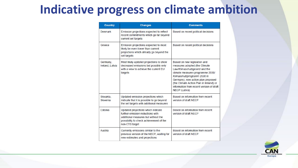## **Indicative progress on climate ambition**

| <b>Country</b>              | <b>Changes</b>                                                                                                                                                             | <b>Comments</b>                                                                                                                                                                                                                                                                                                 |
|-----------------------------|----------------------------------------------------------------------------------------------------------------------------------------------------------------------------|-----------------------------------------------------------------------------------------------------------------------------------------------------------------------------------------------------------------------------------------------------------------------------------------------------------------|
| Denmark                     | Emission projections expected to reflect<br>recent commitments which go far beyond<br>current set targets                                                                  | Based on recent political decisions                                                                                                                                                                                                                                                                             |
| Greece                      | Emission projections expected to most<br>likely be even lower than current<br>projections which already go beyond the<br>set targets                                       | Based on recent political decisions                                                                                                                                                                                                                                                                             |
| Germany,<br>Ireland, Latvia | Most likely updated projections to show<br>decreased emissions but possibly only<br>with a view to achieve the current EU<br>targets                                       | Based on new legislation and<br>measures adopted (the Climate<br>Law/Klimaschutzgesetz and the<br>climate measures programme 2030/<br>Klimaschutzprogramm 2030 in<br>Germany), new action plan proposed<br>(the Climate Action Plan in Ireland) or<br>information from recent version of draft<br>NECP (Latvia) |
| Slovakia.<br>Slovenia       | Updated emission projections which<br>indicate that it is possible to go beyond<br>the set targets with additional measures                                                | Based on information from recent<br>version of draft NECP                                                                                                                                                                                                                                                       |
| Estonia                     | Updated projections which indicate<br>further emission reductions with<br>additional measures but without the<br>possibility to check achievement of the<br>non-ETS target | Based on information from recent<br>version of draft NECP                                                                                                                                                                                                                                                       |
| Austria                     | Currently emissions similar to the<br>previous version of the NECP, waiting for<br>new estimates and projections                                                           | Based on information from recent<br>version of draft NECP                                                                                                                                                                                                                                                       |

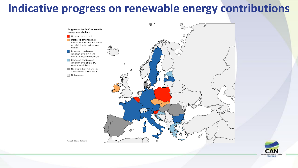#### **Indicative progress on renewable energy contributions**



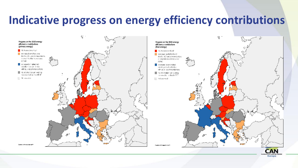#### **Indicative progress on energy efficiency contributions**



Europe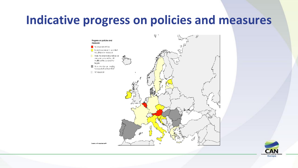#### **Indicative progress on policies and measures**



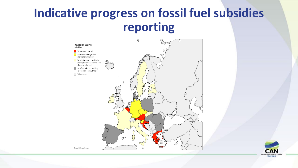## **Indicative progress on fossil fuel subsidies reporting**





Created with mapshorizer 5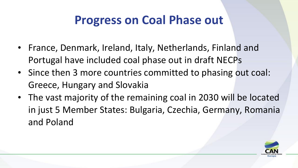## **Progress on Coal Phase out**

- France, Denmark, Ireland, Italy, Netherlands, Finland and Portugal have included coal phase out in draft NECPs
- Since then 3 more countries committed to phasing out coal: Greece, Hungary and Slovakia
- The vast majority of the remaining coal in 2030 will be located in just 5 Member States: Bulgaria, Czechia, Germany, Romania and Poland

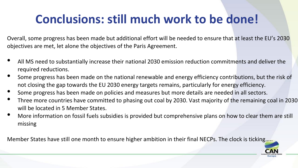# **Conclusions: still much work to be done!**

Overall, some progress has been made but additional effort will be needed to ensure that at least the EU's 2030 objectives are met, let alone the objectives of the Paris Agreement.

- All MS need to substantially increase their national 2030 emission reduction commitments and deliver the required reductions.
- Some progress has been made on the national renewable and energy efficiency contributions, but the risk of not closing the gap towards the EU 2030 energy targets remains, particularly for energy efficiency.
- Some progress has been made on policies and measures but more details are needed in all sectors.
- Three more countries have committed to phasing out coal by 2030. Vast majority of the remaining coal in 2030 will be located in 5 Member States.
- More information on fossil fuels subsidies is provided but comprehensive plans on how to clear them are still missing

Member States have still one month to ensure higher ambition in their final NECPs. The clock is ticking....